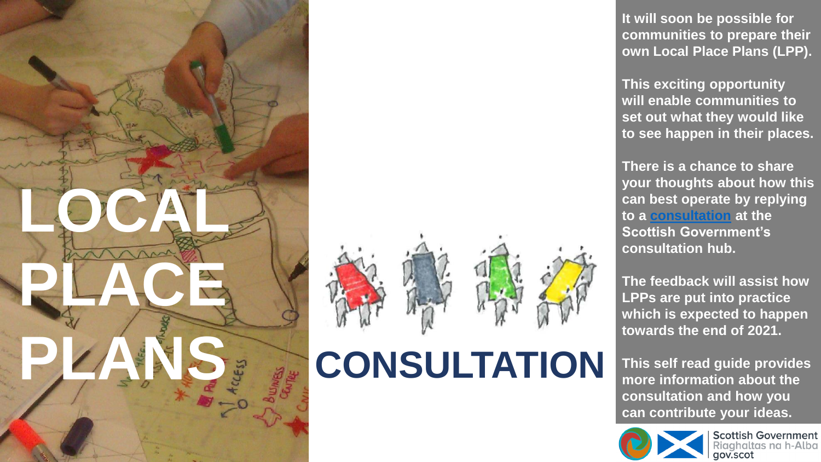





**It will soon be possible for communities to prepare their own Local Place Plans (LPP).** 

**This exciting opportunity will enable communities to set out what they would like to see happen in their places.**

**There is a chance to share your thoughts about how this can best operate by replying to a [consultation](https://consult.gov.scot/local-government-and-communities/local-place-plan-regulations/) at the Scottish Government's consultation hub.**

**The feedback will assist how LPPs are put into practice which is expected to happen towards the end of 2021.**

**This self read guide provides more information about the consultation and how you can contribute your ideas.**



**Scottish Government** haltas na h-Alba gov.scot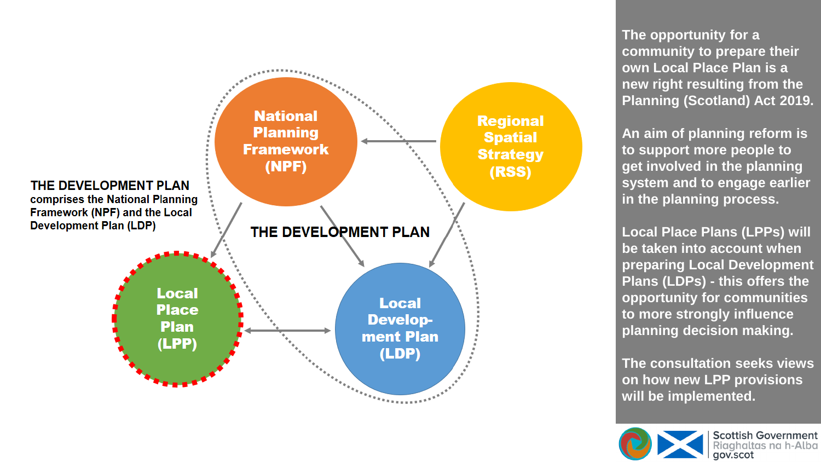

**The opportunity for a community to prepare their own Local Place Plan is a new right resulting from the Planning (Scotland) Act 2019.** 

**An aim of planning reform is to support more people to get involved in the planning system and to engage earlier in the planning process.**

**Local Place Plans (LPPs) will be taken into account when preparing Local Development Plans (LDPs) - this offers the opportunity for communities to more strongly influence planning decision making.**

**The consultation seeks views on how new LPP provisions will be implemented.**

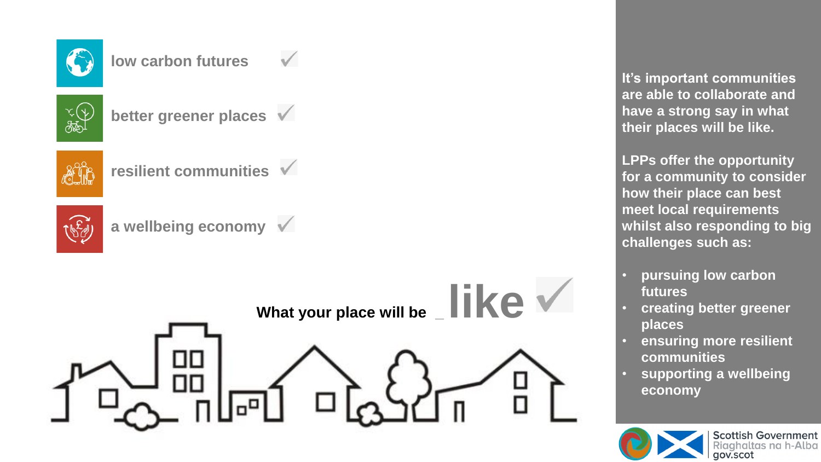

## **low carbon futures**



**better greener places**



**resilient communities**







**It's important communities are able to collaborate and have a strong say in what their places will be like.**

**LPPs offer the opportunity for a community to consider how their place can best meet local requirements whilst also responding to big challenges such as:**

- **pursuing low carbon futures**
- **creating better greener places**
- **ensuring more resilient communities**
- **supporting a wellbeing economy**

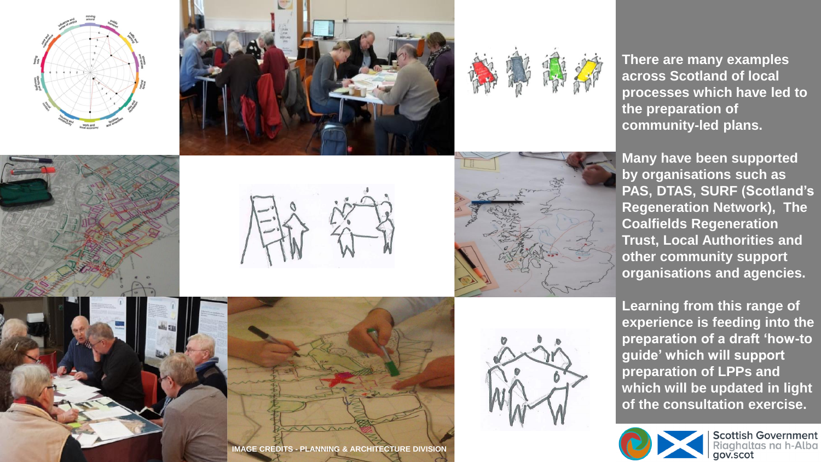







**There are many examples across Scotland of local processes which have led to the preparation of community-led plans.** 

**Many have been supported by organisations such as PAS, DTAS, SURF (Scotland's Regeneration Network), The Coalfields Regeneration Trust, Local Authorities and other community support organisations and agencies.**

**Learning from this range of experience is feeding into the preparation of a draft 'how-to guide' which will support preparation of LPPs and which will be updated in light of the consultation exercise.**



**Scottish Government** igahaltas na h-Alba gov.scot







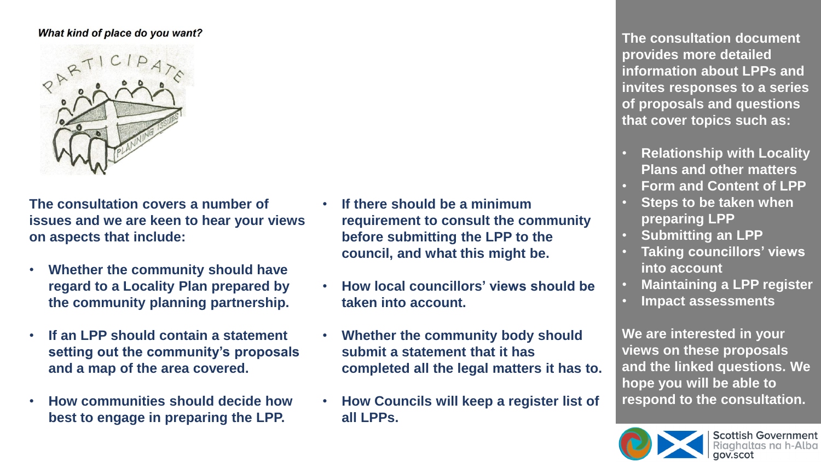## What kind of place do you want?



**The consultation covers a number of issues and we are keen to hear your views on aspects that include:**

- **Whether the community should have regard to a Locality Plan prepared by the community planning partnership.**
- **If an LPP should contain a statement setting out the community's proposals and a map of the area covered.**
- **How communities should decide how best to engage in preparing the LPP.**
- **If there should be a minimum requirement to consult the community before submitting the LPP to the council, and what this might be.**
- **How local councillors' views should be taken into account.**
- **Whether the community body should submit a statement that it has completed all the legal matters it has to.**
- **How Councils will keep a register list of all LPPs.**

**The consultation document provides more detailed information about LPPs and invites responses to a series of proposals and questions that cover topics such as:**

- **Relationship with Locality Plans and other matters**
- **Form and Content of LPP**
- **Steps to be taken when preparing LPP**
- **Submitting an LPP**
- **Taking councillors' views into account**
- **Maintaining a LPP register**
- **Impact assessments**

**We are interested in your views on these proposals and the linked questions. We hope you will be able to respond to the consultation.**